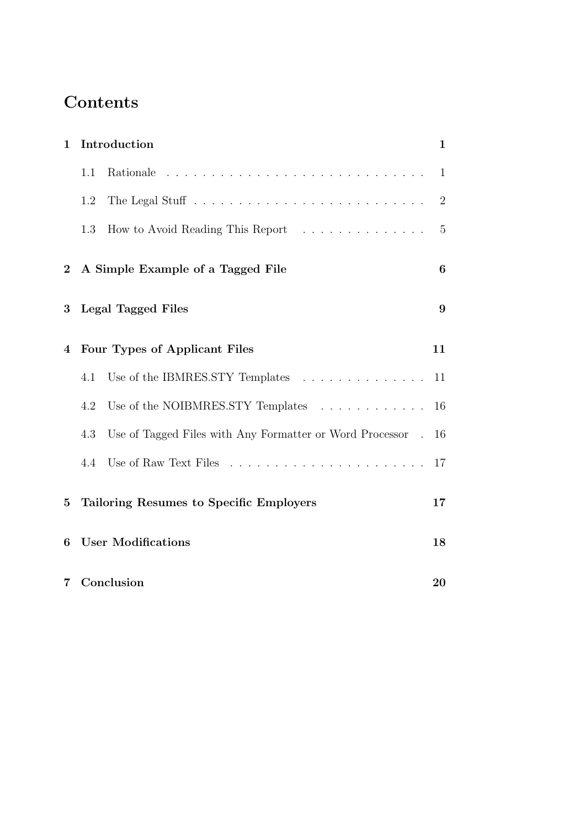# **Contents**

| $\mathbf{1}$     | Introduction                            |                                                               | $\mathbf 1$      |
|------------------|-----------------------------------------|---------------------------------------------------------------|------------------|
|                  | 1.1                                     | Rationale                                                     | $\mathbf{1}$     |
|                  | 1.2                                     |                                                               | $\overline{2}$   |
|                  | 1.3                                     | How to Avoid Reading This Report                              | 5                |
| $\boldsymbol{2}$ | A Simple Example of a Tagged File       |                                                               | $\boldsymbol{6}$ |
| 3                | <b>Legal Tagged Files</b>               |                                                               | 9                |
| 4                | Four Types of Applicant Files           |                                                               | 11               |
|                  | 4.1                                     | Use of the IBMRES.STY Templates $\ldots \ldots \ldots \ldots$ | 11               |
|                  | 4.2                                     | Use of the NOIBMRES.STY Templates                             | 16               |
|                  | 4.3                                     | Use of Tagged Files with Any Formatter or Word Processor.     | 16               |
|                  | 4.4                                     |                                                               | 17               |
| $\overline{5}$   | Tailoring Resumes to Specific Employers |                                                               | 17               |
| 6                | <b>User Modifications</b>               |                                                               | 18               |
| 7                | Conclusion                              |                                                               | 20               |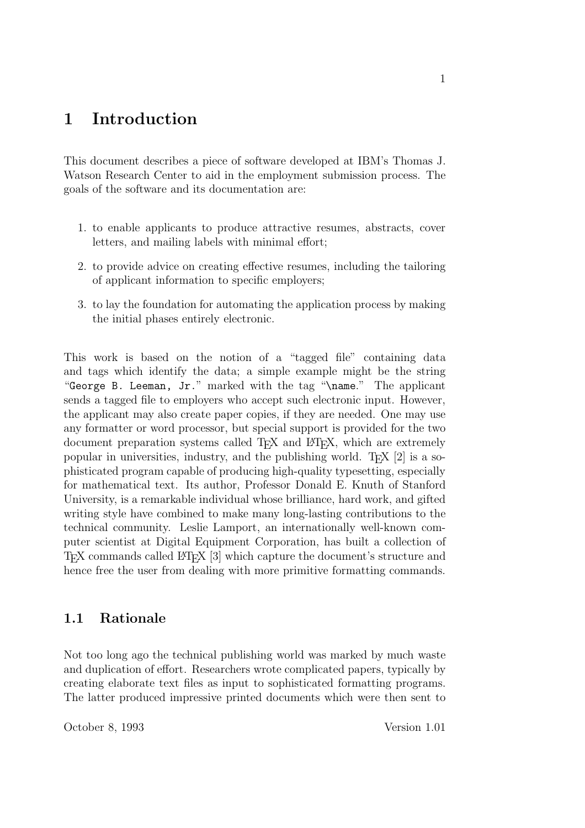## **1 Introduction**

This document describes a piece of software developed at IBM's Thomas J. Watson Research Center to aid in the employment submission process. The goals of the software and its documentation are:

- 1. to enable applicants to produce attractive resumes, abstracts, cover letters, and mailing labels with minimal effort;
- 2. to provide advice on creating effective resumes, including the tailoring of applicant information to specific employers;
- 3. to lay the foundation for automating the application process by making the initial phases entirely electronic.

This work is based on the notion of a "tagged file" containing data and tags which identify the data; a simple example might be the string "George B. Leeman, Jr." marked with the tag "\name." The applicant sends a tagged file to employers who accept such electronic input. However, the applicant may also create paper copies, if they are needed. One may use any formatter or word processor, but special support is provided for the two document preparation systems called T<sub>EX</sub> and L<sup>AT</sup>EX, which are extremely popular in universities, industry, and the publishing world. T $\chi$  [2] is a sophisticated program capable of producing high-quality typesetting, especially for mathematical text. Its author, Professor Donald E. Knuth of Stanford University, is a remarkable individual whose brilliance, hard work, and gifted writing style have combined to make many long-lasting contributions to the technical community. Leslie Lamport, an internationally well-known computer scientist at Digital Equipment Corporation, has built a collection of TEX commands called LATEX [3] which capture the document's structure and hence free the user from dealing with more primitive formatting commands.

### **1.1 Rationale**

Not too long ago the technical publishing world was marked by much waste and duplication of effort. Researchers wrote complicated papers, typically by creating elaborate text files as input to sophisticated formatting programs. The latter produced impressive printed documents which were then sent to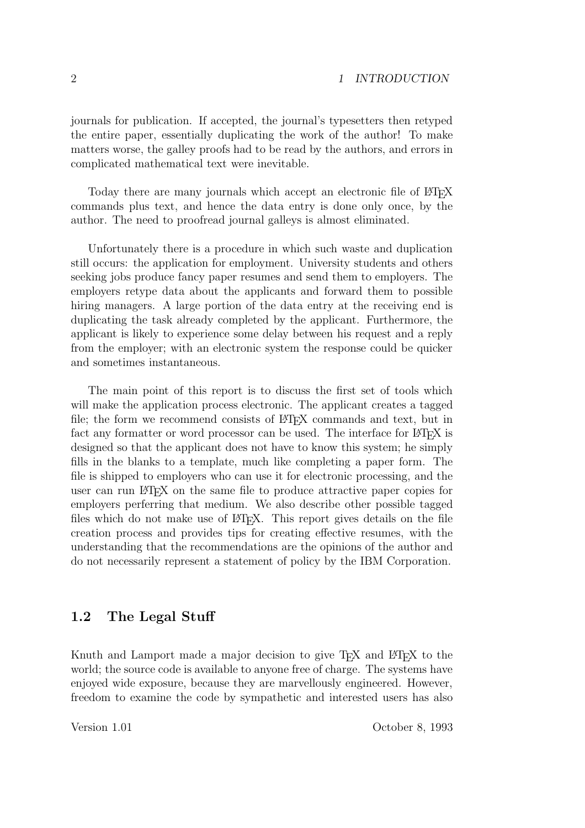journals for publication. If accepted, the journal's typesetters then retyped the entire paper, essentially duplicating the work of the author! To make matters worse, the galley proofs had to be read by the authors, and errors in complicated mathematical text were inevitable.

Today there are many journals which accept an electronic file of LATEX commands plus text, and hence the data entry is done only once, by the author. The need to proofread journal galleys is almost eliminated.

Unfortunately there is a procedure in which such waste and duplication still occurs: the application for employment. University students and others seeking jobs produce fancy paper resumes and send them to employers. The employers retype data about the applicants and forward them to possible hiring managers. A large portion of the data entry at the receiving end is duplicating the task already completed by the applicant. Furthermore, the applicant is likely to experience some delay between his request and a reply from the employer; with an electronic system the response could be quicker and sometimes instantaneous.

The main point of this report is to discuss the first set of tools which will make the application process electronic. The applicant creates a tagged file; the form we recommend consists of LATEX commands and text, but in fact any formatter or word processor can be used. The interface for LATEX is designed so that the applicant does not have to know this system; he simply fills in the blanks to a template, much like completing a paper form. The file is shipped to employers who can use it for electronic processing, and the user can run LAT<sub>EX</sub> on the same file to produce attractive paper copies for employers perferring that medium. We also describe other possible tagged files which do not make use of LAT<sub>E</sub>X. This report gives details on the file creation process and provides tips for creating effective resumes, with the understanding that the recommendations are the opinions of the author and do not necessarily represent a statement of policy by the IBM Corporation.

#### **1.2 The Legal Stuff**

Knuth and Lamport made a major decision to give T<sub>EX</sub> and LATEX to the world; the source code is available to anyone free of charge. The systems have enjoyed wide exposure, because they are marvellously engineered. However, freedom to examine the code by sympathetic and interested users has also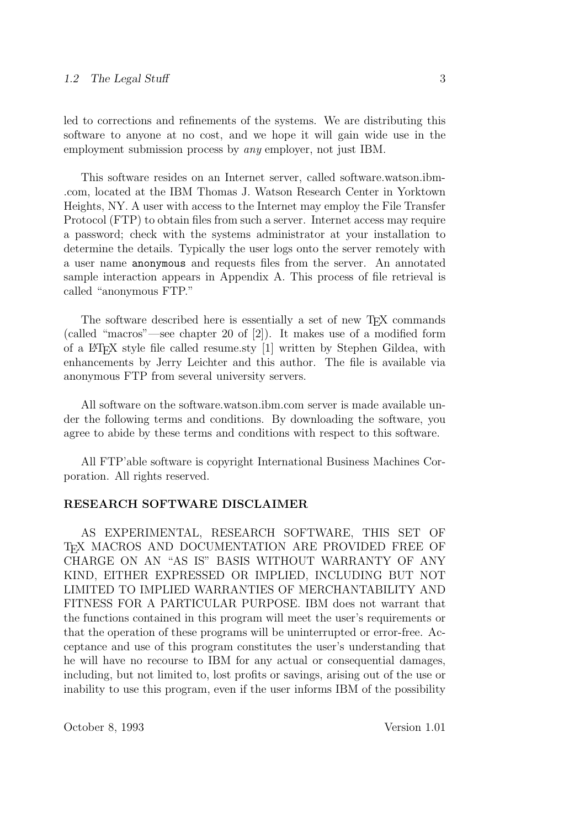led to corrections and refinements of the systems. We are distributing this software to anyone at no cost, and we hope it will gain wide use in the employment submission process by *any* employer, not just IBM.

This software resides on an Internet server, called software.watson.ibm- .com, located at the IBM Thomas J. Watson Research Center in Yorktown Heights, NY. A user with access to the Internet may employ the File Transfer Protocol (FTP) to obtain files from such a server. Internet access may require a password; check with the systems administrator at your installation to determine the details. Typically the user logs onto the server remotely with a user name anonymous and requests files from the server. An annotated sample interaction appears in Appendix A. This process of file retrieval is called "anonymous FTP."

The software described here is essentially a set of new T<sub>EX</sub> commands (called "macros"—see chapter 20 of [2]). It makes use of a modified form of a LATEX style file called resume.sty [1] written by Stephen Gildea, with enhancements by Jerry Leichter and this author. The file is available via anonymous FTP from several university servers.

All software on the software.watson.ibm.com server is made available under the following terms and conditions. By downloading the software, you agree to abide by these terms and conditions with respect to this software.

All FTP'able software is copyright International Business Machines Corporation. All rights reserved.

#### **RESEARCH SOFTWARE DISCLAIMER**

AS EXPERIMENTAL, RESEARCH SOFTWARE, THIS SET OF T<sub>EX</sub> MACROS AND DOCUMENTATION ARE PROVIDED FREE OF CHARGE ON AN "AS IS" BASIS WITHOUT WARRANTY OF ANY KIND, EITHER EXPRESSED OR IMPLIED, INCLUDING BUT NOT LIMITED TO IMPLIED WARRANTIES OF MERCHANTABILITY AND FITNESS FOR A PARTICULAR PURPOSE. IBM does not warrant that the functions contained in this program will meet the user's requirements or that the operation of these programs will be uninterrupted or error-free. Acceptance and use of this program constitutes the user's understanding that he will have no recourse to IBM for any actual or consequential damages, including, but not limited to, lost profits or savings, arising out of the use or inability to use this program, even if the user informs IBM of the possibility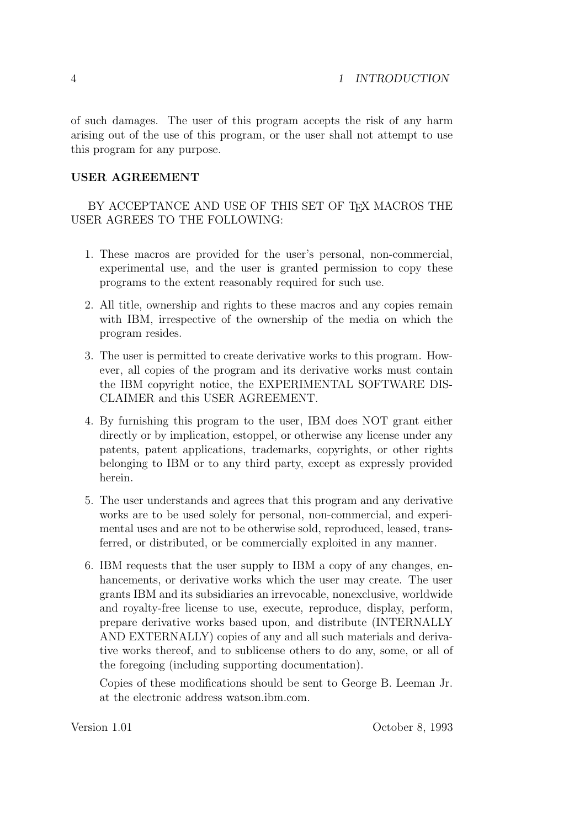of such damages. The user of this program accepts the risk of any harm arising out of the use of this program, or the user shall not attempt to use this program for any purpose.

#### **USER AGREEMENT**

BY ACCEPTANCE AND USE OF THIS SET OF TEX MACROS THE USER AGREES TO THE FOLLOWING:

- 1. These macros are provided for the user's personal, non-commercial, experimental use, and the user is granted permission to copy these programs to the extent reasonably required for such use.
- 2. All title, ownership and rights to these macros and any copies remain with IBM, irrespective of the ownership of the media on which the program resides.
- 3. The user is permitted to create derivative works to this program. However, all copies of the program and its derivative works must contain the IBM copyright notice, the EXPERIMENTAL SOFTWARE DIS-CLAIMER and this USER AGREEMENT.
- 4. By furnishing this program to the user, IBM does NOT grant either directly or by implication, estoppel, or otherwise any license under any patents, patent applications, trademarks, copyrights, or other rights belonging to IBM or to any third party, except as expressly provided herein.
- 5. The user understands and agrees that this program and any derivative works are to be used solely for personal, non-commercial, and experimental uses and are not to be otherwise sold, reproduced, leased, transferred, or distributed, or be commercially exploited in any manner.
- 6. IBM requests that the user supply to IBM a copy of any changes, enhancements, or derivative works which the user may create. The user grants IBM and its subsidiaries an irrevocable, nonexclusive, worldwide and royalty-free license to use, execute, reproduce, display, perform, prepare derivative works based upon, and distribute (INTERNALLY AND EXTERNALLY) copies of any and all such materials and derivative works thereof, and to sublicense others to do any, some, or all of the foregoing (including supporting documentation).

Copies of these modifications should be sent to George B. Leeman Jr. at the electronic address watson.ibm.com.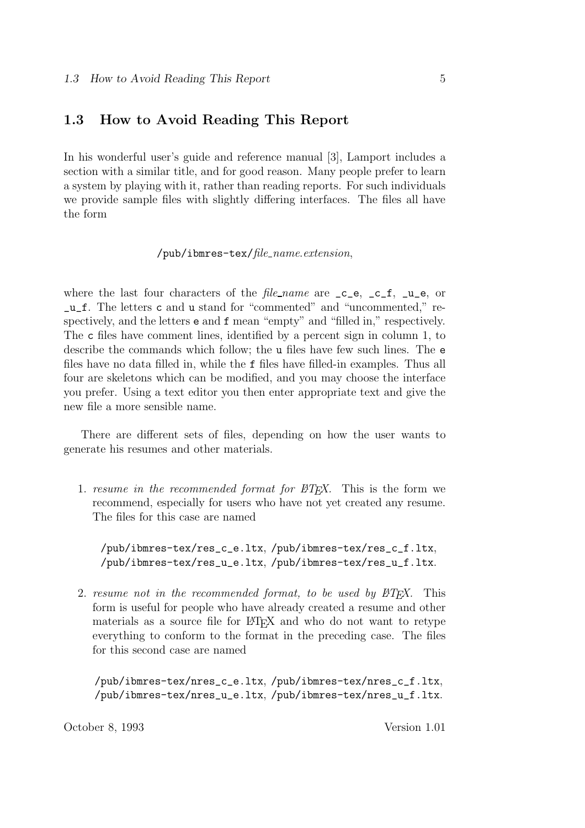#### **1.3 How to Avoid Reading This Report**

In his wonderful user's guide and reference manual [3], Lamport includes a section with a similar title, and for good reason. Many people prefer to learn a system by playing with it, rather than reading reports. For such individuals we provide sample files with slightly differing interfaces. The files all have the form

```
/pub/ibmres-tex/file name.extension,
```
where the last four characters of the *file-name* are  $\text{c}_e$ ,  $\text{c}_f$ ,  $\text{u}_e$ , or \_u\_f. The letters c and u stand for "commented" and "uncommented," respectively, and the letters e and f mean "empty" and "filled in," respectively. The c files have comment lines, identified by a percent sign in column 1, to describe the commands which follow; the u files have few such lines. The e files have no data filled in, while the f files have filled-in examples. Thus all four are skeletons which can be modified, and you may choose the interface you prefer. Using a text editor you then enter appropriate text and give the new file a more sensible name.

There are different sets of files, depending on how the user wants to generate his resumes and other materials.

1. *resume in the recommended format for*  $BT_FX$ *.* This is the form we recommend, especially for users who have not yet created any resume. The files for this case are named

/pub/ibmres-tex/res\_c\_e.ltx, /pub/ibmres-tex/res\_c\_f.ltx, /pub/ibmres-tex/res\_u\_e.ltx, /pub/ibmres-tex/res\_u\_f.ltx.

2. *resume not in the recommended format, to be used by*  $\beta T_F X$ *.* This form is useful for people who have already created a resume and other materials as a source file for LAT<sub>EX</sub> and who do not want to retype everything to conform to the format in the preceding case. The files for this second case are named

/pub/ibmres-tex/nres\_c\_e.ltx, /pub/ibmres-tex/nres\_c\_f.ltx, /pub/ibmres-tex/nres\_u\_e.ltx, /pub/ibmres-tex/nres\_u\_f.ltx.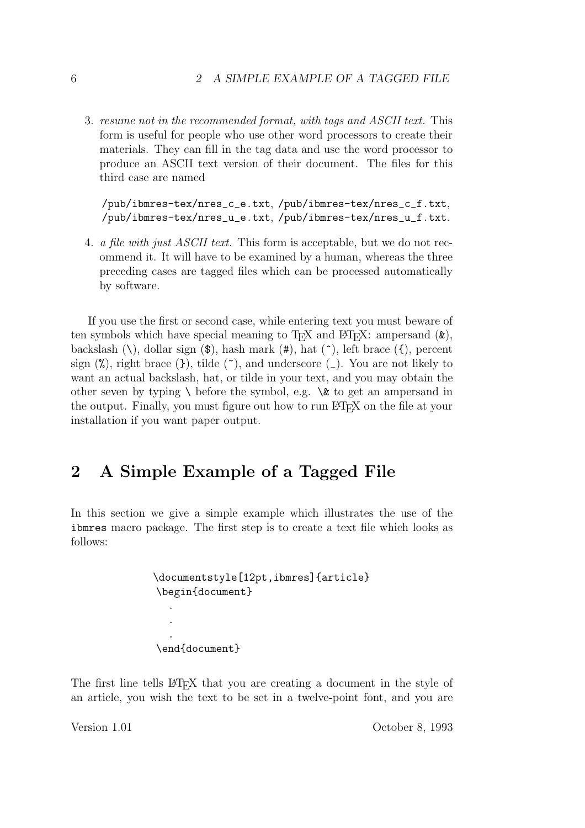3. *resume not in the recommended format, with tags and ASCII text.* This form is useful for people who use other word processors to create their materials. They can fill in the tag data and use the word processor to produce an ASCII text version of their document. The files for this third case are named

/pub/ibmres-tex/nres\_c\_e.txt, /pub/ibmres-tex/nres\_c\_f.txt, /pub/ibmres-tex/nres\_u\_e.txt, /pub/ibmres-tex/nres\_u\_f.txt.

4. *a file with just ASCII text.* This form is acceptable, but we do not recommend it. It will have to be examined by a human, whereas the three preceding cases are tagged files which can be processed automatically by software.

If you use the first or second case, while entering text you must beware of ten symbols which have special meaning to T<sub>F</sub>X and L<sup>4</sup>T<sub>F</sub>X: ampersand  $(\&)$ , backslash  $(\lambda)$ , dollar sign  $(\mathcal{F})$ , hash mark  $(\mathcal{F})$ , hat  $(\hat{\lambda})$ , left brace  $(\hat{\lambda})$ , percent sign  $(\%)$ , right brace  $(\})$ , tilde  $(\)$ , and underscore  $(\_)$ . You are not likely to want an actual backslash, hat, or tilde in your text, and you may obtain the other seven by typing  $\setminus$  before the symbol, e.g.  $\&$  to get an ampersand in the output. Finally, you must figure out how to run LATEX on the file at your installation if you want paper output.

## **2 A Simple Example of a Tagged File**

In this section we give a simple example which illustrates the use of the ibmres macro package. The first step is to create a text file which looks as follows:

```
\documentstyle[12pt,ibmres]{article}
\begin{document}
  .
  .
  .
\end{document}
```
The first line tells LATEX that you are creating a document in the style of an article, you wish the text to be set in a twelve-point font, and you are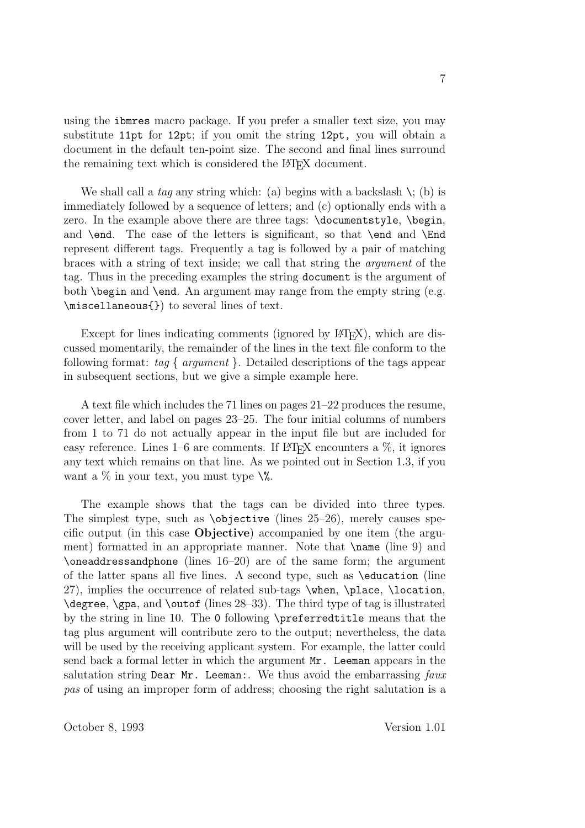using the ibmres macro package. If you prefer a smaller text size, you may substitute 11pt for 12pt; if you omit the string 12pt, you will obtain a document in the default ten-point size. The second and final lines surround the remaining text which is considered the LAT<sub>EX</sub> document.

We shall call a *tag* any string which: (a) begins with a backslash  $\setminus$ ; (b) is immediately followed by a sequence of letters; and (c) optionally ends with a zero. In the example above there are three tags: \documentstyle, \begin, and **\end.** The case of the letters is significant, so that **\end** and  $\text{End}$ represent different tags. Frequently a tag is followed by a pair of matching braces with a string of text inside; we call that string the *argument* of the tag. Thus in the preceding examples the string document is the argument of both \begin and \end. An argument may range from the empty string (e.g. \miscellaneous{}) to several lines of text.

Except for lines indicating comments (ignored by  $\langle \text{H} \rangle$ ), which are discussed momentarily, the remainder of the lines in the text file conform to the following format: *tag { argument }*. Detailed descriptions of the tags appear in subsequent sections, but we give a simple example here.

A text file which includes the 71 lines on pages 21–22 produces the resume, cover letter, and label on pages 23–25. The four initial columns of numbers from 1 to 71 do not actually appear in the input file but are included for easy reference. Lines  $1-6$  are comments. If  $\mathbb{F}$ F<sub>F</sub>X encounters a  $\%$ , it ignores any text which remains on that line. As we pointed out in Section 1.3, if you want a  $\%$  in your text, you must type  $\%$ .

The example shows that the tags can be divided into three types. The simplest type, such as  $\delta$  to biective (lines 25–26), merely causes specific output (in this case **Objective**) accompanied by one item (the argument) formatted in an appropriate manner. Note that \name (line 9) and \oneaddressandphone (lines 16–20) are of the same form; the argument of the latter spans all five lines. A second type, such as \education (line 27), implies the occurrence of related sub-tags \when, \place, \location, \degree, \gpa, and \outof (lines 28–33). The third type of tag is illustrated by the string in line 10. The 0 following \preferredtitle means that the tag plus argument will contribute zero to the output; nevertheless, the data will be used by the receiving applicant system. For example, the latter could send back a formal letter in which the argument Mr. Leeman appears in the salutation string Dear Mr. Leeman:. We thus avoid the embarrassing *faux pas* of using an improper form of address; choosing the right salutation is a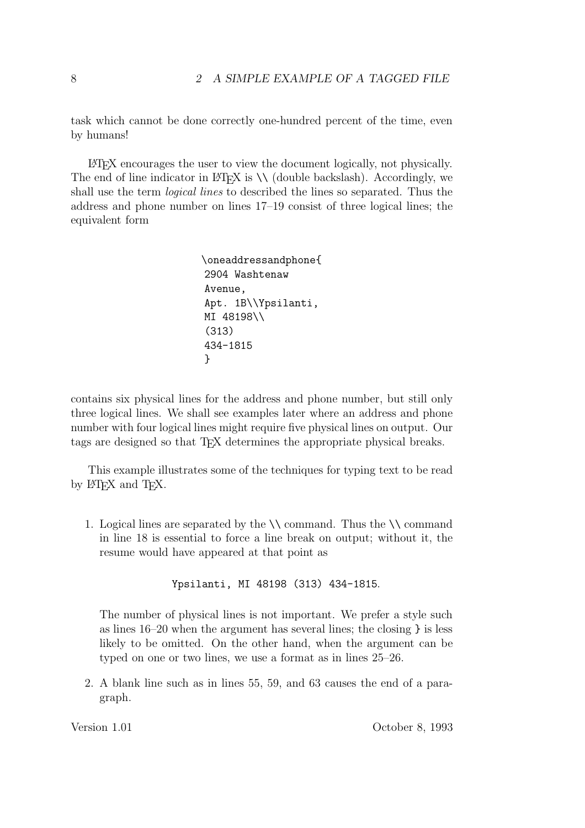task which cannot be done correctly one-hundred percent of the time, even by humans!

LATEX encourages the user to view the document logically, not physically. The end of line indicator in  $\mathbb{F}(\mathbb{F}(\mathbb{F})$  is  $\setminus \setminus$  (double backslash). Accordingly, we shall use the term *logical lines* to described the lines so separated. Thus the address and phone number on lines 17–19 consist of three logical lines; the equivalent form

```
\oneaddressandphone{
2904 Washtenaw
Avenue,
Apt. 1B\\Ypsilanti,
MI 48198\\
(313)
434-1815
}
```
contains six physical lines for the address and phone number, but still only three logical lines. We shall see examples later where an address and phone number with four logical lines might require five physical lines on output. Our tags are designed so that TEX determines the appropriate physical breaks.

This example illustrates some of the techniques for typing text to be read by L<sup>AT</sup><sub>EX</sub> and T<sub>EX</sub>.

1. Logical lines are separated by the  $\setminus \mathcal{C}$  command. Thus the  $\setminus \mathcal{C}$  command in line 18 is essential to force a line break on output; without it, the resume would have appeared at that point as

Ypsilanti, MI 48198 (313) 434-1815.

The number of physical lines is not important. We prefer a style such as lines 16–20 when the argument has several lines; the closing } is less likely to be omitted. On the other hand, when the argument can be typed on one or two lines, we use a format as in lines 25–26.

2. A blank line such as in lines 55, 59, and 63 causes the end of a paragraph.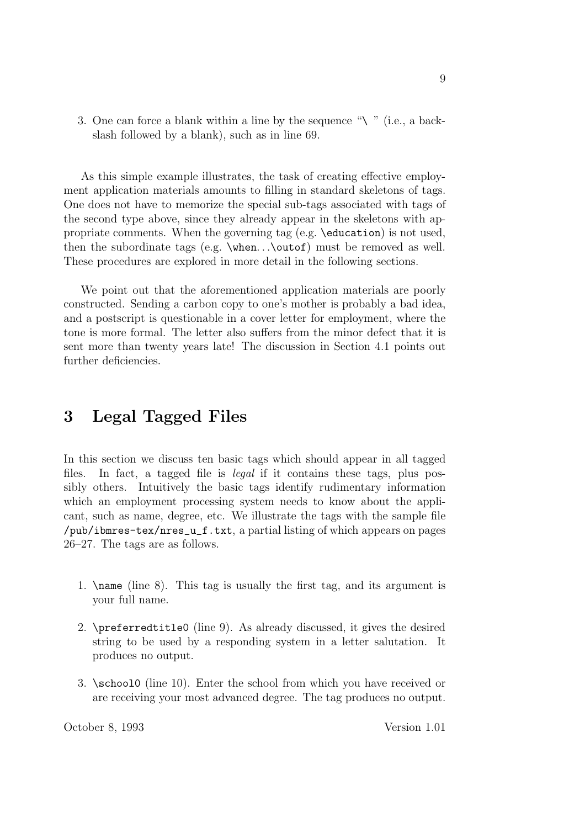3. One can force a blank within a line by the sequence "\" (i.e., a backslash followed by a blank), such as in line 69.

As this simple example illustrates, the task of creating effective employment application materials amounts to filling in standard skeletons of tags. One does not have to memorize the special sub-tags associated with tags of the second type above, since they already appear in the skeletons with appropriate comments. When the governing tag (e.g. \education) is not used, then the subordinate tags (e.g. \when*...*\outof) must be removed as well. These procedures are explored in more detail in the following sections.

We point out that the aforementioned application materials are poorly constructed. Sending a carbon copy to one's mother is probably a bad idea, and a postscript is questionable in a cover letter for employment, where the tone is more formal. The letter also suffers from the minor defect that it is sent more than twenty years late! The discussion in Section 4.1 points out further deficiencies.

## **3 Legal Tagged Files**

In this section we discuss ten basic tags which should appear in all tagged files. In fact, a tagged file is *legal* if it contains these tags, plus possibly others. Intuitively the basic tags identify rudimentary information which an employment processing system needs to know about the applicant, such as name, degree, etc. We illustrate the tags with the sample file /pub/ibmres-tex/nres\_u\_f.txt, a partial listing of which appears on pages 26–27. The tags are as follows.

- 1. \name (line 8). This tag is usually the first tag, and its argument is your full name.
- 2. \preferredtitle0 (line 9). As already discussed, it gives the desired string to be used by a responding system in a letter salutation. It produces no output.
- 3. \school0 (line 10). Enter the school from which you have received or are receiving your most advanced degree. The tag produces no output.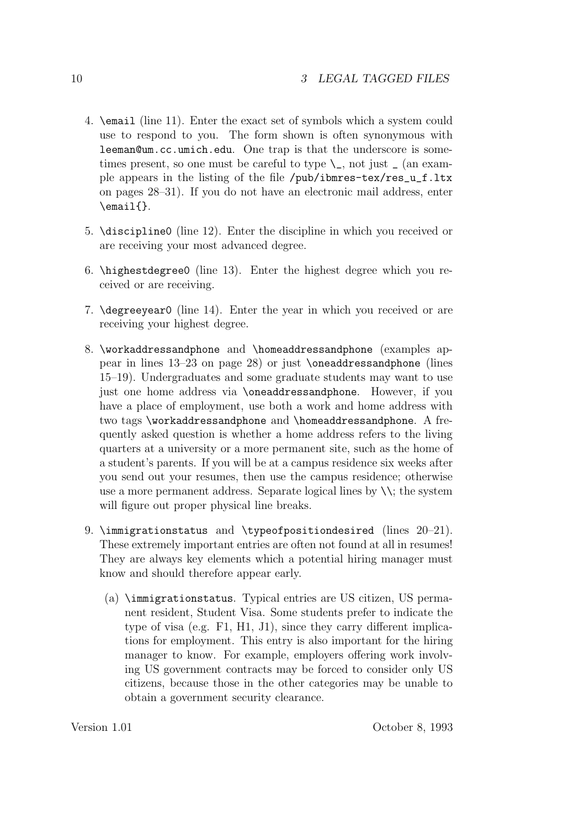- 4. \email (line 11). Enter the exact set of symbols which a system could use to respond to you. The form shown is often synonymous with leeman@um.cc.umich.edu. One trap is that the underscore is sometimes present, so one must be careful to type  $\setminus$ , not just  $\setminus$  (an example appears in the listing of the file /pub/ibmres-tex/res\_u\_f.ltx on pages 28–31). If you do not have an electronic mail address, enter \email{}.
- 5. \discipline0 (line 12). Enter the discipline in which you received or are receiving your most advanced degree.
- 6. \highestdegree0 (line 13). Enter the highest degree which you received or are receiving.
- 7. \degreeyear0 (line 14). Enter the year in which you received or are receiving your highest degree.
- 8. \workaddressandphone and \homeaddressandphone (examples appear in lines 13–23 on page 28) or just \oneaddressandphone (lines 15–19). Undergraduates and some graduate students may want to use just one home address via \oneaddressandphone. However, if you have a place of employment, use both a work and home address with two tags \workaddressandphone and \homeaddressandphone. A frequently asked question is whether a home address refers to the living quarters at a university or a more permanent site, such as the home of a student's parents. If you will be at a campus residence six weeks after you send out your resumes, then use the campus residence; otherwise use a more permanent address. Separate logical lines by  $\setminus\$ ; the system will figure out proper physical line breaks.
- 9. \immigrationstatus and \typeofpositiondesired (lines 20–21). These extremely important entries are often not found at all in resumes! They are always key elements which a potential hiring manager must know and should therefore appear early.
	- (a) \immigrationstatus. Typical entries are US citizen, US permanent resident, Student Visa. Some students prefer to indicate the type of visa (e.g. F1, H1, J1), since they carry different implications for employment. This entry is also important for the hiring manager to know. For example, employers offering work involving US government contracts may be forced to consider only US citizens, because those in the other categories may be unable to obtain a government security clearance.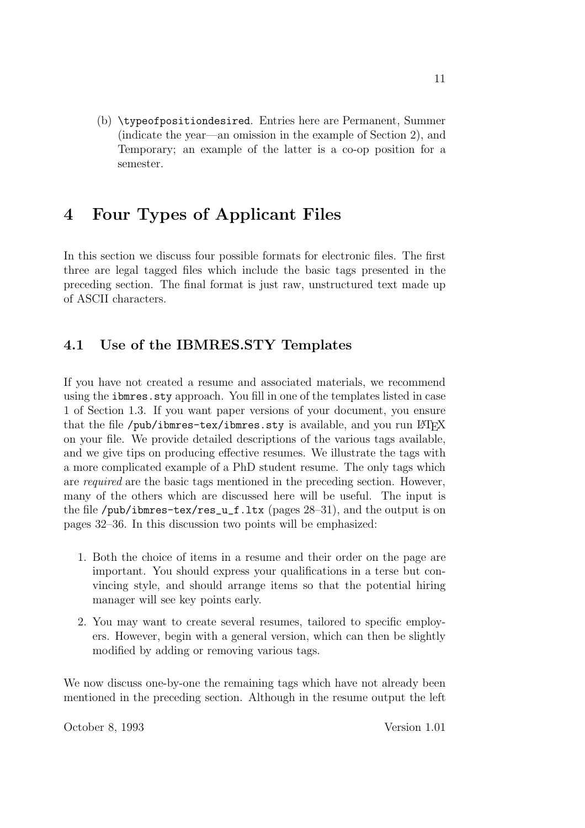(b) \typeofpositiondesired. Entries here are Permanent, Summer (indicate the year—an omission in the example of Section 2), and Temporary; an example of the latter is a co-op position for a semester.

## **4 Four Types of Applicant Files**

In this section we discuss four possible formats for electronic files. The first three are legal tagged files which include the basic tags presented in the preceding section. The final format is just raw, unstructured text made up of ASCII characters.

### **4.1 Use of the IBMRES.STY Templates**

If you have not created a resume and associated materials, we recommend using the ibmres.sty approach. You fill in one of the templates listed in case 1 of Section 1.3. If you want paper versions of your document, you ensure that the file /pub/ibmres-tex/ibmres.sty is available, and you run  $\angle MFX$ on your file. We provide detailed descriptions of the various tags available, and we give tips on producing effective resumes. We illustrate the tags with a more complicated example of a PhD student resume. The only tags which are *required* are the basic tags mentioned in the preceding section. However, many of the others which are discussed here will be useful. The input is the file /pub/ibmres-tex/res\_u\_f.ltx (pages 28–31), and the output is on pages 32–36. In this discussion two points will be emphasized:

- 1. Both the choice of items in a resume and their order on the page are important. You should express your qualifications in a terse but convincing style, and should arrange items so that the potential hiring manager will see key points early.
- 2. You may want to create several resumes, tailored to specific employers. However, begin with a general version, which can then be slightly modified by adding or removing various tags.

We now discuss one-by-one the remaining tags which have not already been mentioned in the preceding section. Although in the resume output the left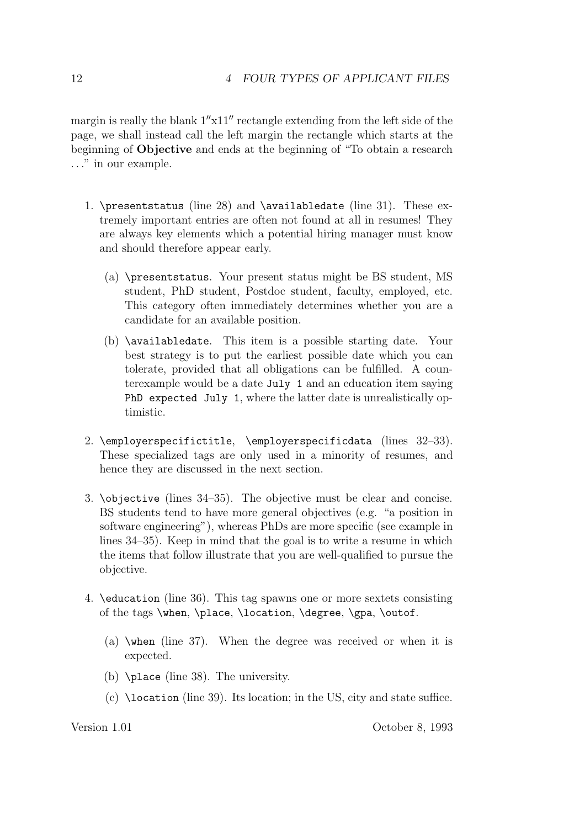margin is really the blank  $1''x11''$  rectangle extending from the left side of the page, we shall instead call the left margin the rectangle which starts at the beginning of **Objective** and ends at the beginning of "To obtain a research *...*" in our example.

- 1. \presentstatus (line 28) and \availabledate (line 31). These extremely important entries are often not found at all in resumes! They are always key elements which a potential hiring manager must know and should therefore appear early.
	- (a) \presentstatus. Your present status might be BS student, MS student, PhD student, Postdoc student, faculty, employed, etc. This category often immediately determines whether you are a candidate for an available position.
	- (b) \availabledate. This item is a possible starting date. Your best strategy is to put the earliest possible date which you can tolerate, provided that all obligations can be fulfilled. A counterexample would be a date July 1 and an education item saying PhD expected July 1, where the latter date is unrealistically optimistic.
- 2. \employerspecifictitle, \employerspecificdata (lines 32–33). These specialized tags are only used in a minority of resumes, and hence they are discussed in the next section.
- 3. \objective (lines 34–35). The objective must be clear and concise. BS students tend to have more general objectives (e.g. "a position in software engineering"), whereas PhDs are more specific (see example in lines 34–35). Keep in mind that the goal is to write a resume in which the items that follow illustrate that you are well-qualified to pursue the objective.
- 4. \education (line 36). This tag spawns one or more sextets consisting of the tags \when, \place, \location, \degree, \gpa, \outof.
	- (a) \when (line 37). When the degree was received or when it is expected.
	- (b) \place (line 38). The university.
	- (c) \location (line 39). Its location; in the US, city and state suffice.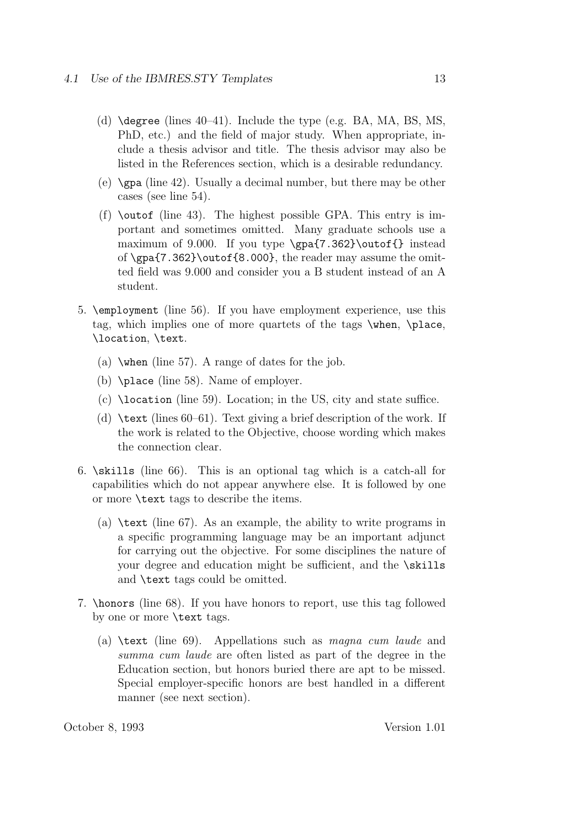- (d) \degree (lines 40–41). Include the type (e.g. BA, MA, BS, MS, PhD, etc.) and the field of major study. When appropriate, include a thesis advisor and title. The thesis advisor may also be listed in the References section, which is a desirable redundancy.
- (e)  $\chi$ gpa (line 42). Usually a decimal number, but there may be other cases (see line 54).
- (f)  $\out$ of (line 43). The highest possible GPA. This entry is important and sometimes omitted. Many graduate schools use a maximum of 9.000. If you type \gpa{7.362}\outof{} instead of \gpa{7.362}\outof{8.000}, the reader may assume the omitted field was 9.000 and consider you a B student instead of an A student.
- 5. \employment (line 56). If you have employment experience, use this tag, which implies one of more quartets of the tags \when, \place, \location, \text.
	- (a)  $\forall$ when (line 57). A range of dates for the job.
	- (b) \place (line 58). Name of employer.
	- (c) \location (line 59). Location; in the US, city and state suffice.
	- (d) \text (lines 60–61). Text giving a brief description of the work. If the work is related to the Objective, choose wording which makes the connection clear.
- 6. \skills (line 66). This is an optional tag which is a catch-all for capabilities which do not appear anywhere else. It is followed by one or more \text tags to describe the items.
	- (a)  $\text{the } 67$ . As an example, the ability to write programs in a specific programming language may be an important adjunct for carrying out the objective. For some disciplines the nature of your degree and education might be sufficient, and the \skills and \text tags could be omitted.
- 7. \honors (line 68). If you have honors to report, use this tag followed by one or more \text tags.
	- (a) \text (line 69). Appellations such as *magna cum laude* and *summa cum laude* are often listed as part of the degree in the Education section, but honors buried there are apt to be missed. Special employer-specific honors are best handled in a different manner (see next section).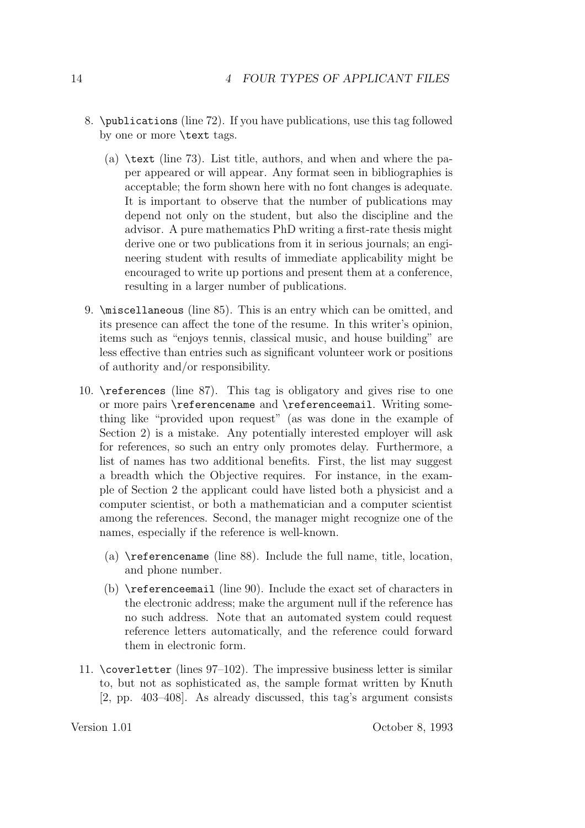- 8. \publications (line 72). If you have publications, use this tag followed by one or more \text tags.
	- (a)  $\text{the } 73$ . List title, authors, and when and where the paper appeared or will appear. Any format seen in bibliographies is acceptable; the form shown here with no font changes is adequate. It is important to observe that the number of publications may depend not only on the student, but also the discipline and the advisor. A pure mathematics PhD writing a first-rate thesis might derive one or two publications from it in serious journals; an engineering student with results of immediate applicability might be encouraged to write up portions and present them at a conference, resulting in a larger number of publications.
- 9. \miscellaneous (line 85). This is an entry which can be omitted, and its presence can affect the tone of the resume. In this writer's opinion, items such as "enjoys tennis, classical music, and house building" are less effective than entries such as significant volunteer work or positions of authority and/or responsibility.
- 10. \references (line 87). This tag is obligatory and gives rise to one or more pairs \referencename and \referenceemail. Writing something like "provided upon request" (as was done in the example of Section 2) is a mistake. Any potentially interested employer will ask for references, so such an entry only promotes delay. Furthermore, a list of names has two additional benefits. First, the list may suggest a breadth which the Objective requires. For instance, in the example of Section 2 the applicant could have listed both a physicist and a computer scientist, or both a mathematician and a computer scientist among the references. Second, the manager might recognize one of the names, especially if the reference is well-known.
	- (a) \referencename (line 88). Include the full name, title, location, and phone number.
	- (b) \referenceemail (line 90). Include the exact set of characters in the electronic address; make the argument null if the reference has no such address. Note that an automated system could request reference letters automatically, and the reference could forward them in electronic form.
- 11. \coverletter (lines  $97-102$ ). The impressive business letter is similar to, but not as sophisticated as, the sample format written by Knuth [2, pp. 403–408]. As already discussed, this tag's argument consists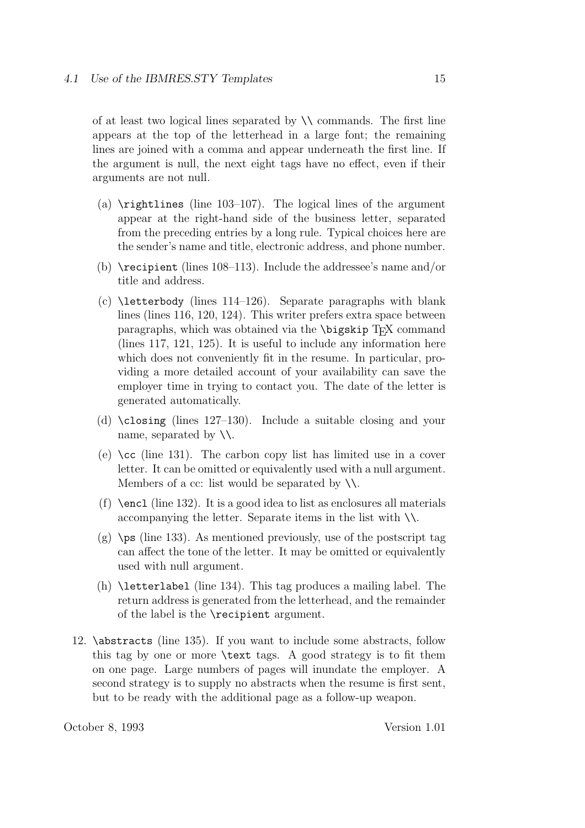of at least two logical lines separated by  $\setminus \setminus$  commands. The first line appears at the top of the letterhead in a large font; the remaining lines are joined with a comma and appear underneath the first line. If the argument is null, the next eight tags have no effect, even if their arguments are not null.

- (a)  $\rightleftharpoons$  (line 103–107). The logical lines of the argument appear at the right-hand side of the business letter, separated from the preceding entries by a long rule. Typical choices here are the sender's name and title, electronic address, and phone number.
- (b) \recipient (lines 108–113). Include the addressee's name and/or title and address.
- (c) \letterbody (lines 114–126). Separate paragraphs with blank lines (lines 116, 120, 124). This writer prefers extra space between paragraphs, which was obtained via the **\bigskip** T<sub>E</sub>X command (lines 117, 121, 125). It is useful to include any information here which does not conveniently fit in the resume. In particular, providing a more detailed account of your availability can save the employer time in trying to contact you. The date of the letter is generated automatically.
- (d) \closing (lines 127–130). Include a suitable closing and your name, separated by  $\setminus \setminus$ .
- (e) \cc (line 131). The carbon copy list has limited use in a cover letter. It can be omitted or equivalently used with a null argument. Members of a cc: list would be separated by  $\setminus \setminus$ .
- (f)  $\enct$  (line 132). It is a good idea to list as enclosures all materials accompanying the letter. Separate items in the list with  $\setminus \setminus$ .
- $(g)$  \ps (line 133). As mentioned previously, use of the postscript tag can affect the tone of the letter. It may be omitted or equivalently used with null argument.
- (h) \letterlabel (line 134). This tag produces a mailing label. The return address is generated from the letterhead, and the remainder of the label is the \recipient argument.
- 12. \abstracts (line 135). If you want to include some abstracts, follow this tag by one or more \text tags. A good strategy is to fit them on one page. Large numbers of pages will inundate the employer. A second strategy is to supply no abstracts when the resume is first sent, but to be ready with the additional page as a follow-up weapon.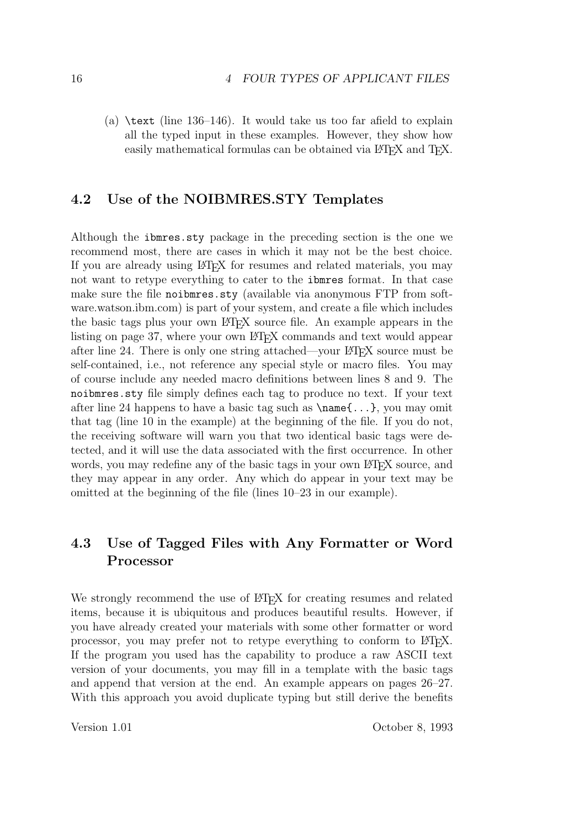(a)  $\text{text}$  (line 136–146). It would take us too far afield to explain all the typed input in these examples. However, they show how easily mathematical formulas can be obtained via LATEX and TEX.

#### **4.2 Use of the NOIBMRES.STY Templates**

Although the ibmres.sty package in the preceding section is the one we recommend most, there are cases in which it may not be the best choice. If you are already using LAT<sub>EX</sub> for resumes and related materials, you may not want to retype everything to cater to the ibmres format. In that case make sure the file noibmres.sty (available via anonymous FTP from software.watson.ibm.com) is part of your system, and create a file which includes the basic tags plus your own LATEX source file. An example appears in the listing on page 37, where your own LATEX commands and text would appear after line 24. There is only one string attached—your LATEX source must be self-contained, i.e., not reference any special style or macro files. You may of course include any needed macro definitions between lines 8 and 9. The noibmres.sty file simply defines each tag to produce no text. If your text after line 24 happens to have a basic tag such as  $\name{\ldots}$ , you may omit that tag (line 10 in the example) at the beginning of the file. If you do not, the receiving software will warn you that two identical basic tags were detected, and it will use the data associated with the first occurrence. In other words, you may redefine any of the basic tags in your own LATEX source, and they may appear in any order. Any which do appear in your text may be omitted at the beginning of the file (lines 10–23 in our example).

### **4.3 Use of Tagged Files with Any Formatter or Word Processor**

We strongly recommend the use of LATEX for creating resumes and related items, because it is ubiquitous and produces beautiful results. However, if you have already created your materials with some other formatter or word processor, you may prefer not to retype everything to conform to LATEX. If the program you used has the capability to produce a raw ASCII text version of your documents, you may fill in a template with the basic tags and append that version at the end. An example appears on pages 26–27. With this approach you avoid duplicate typing but still derive the benefits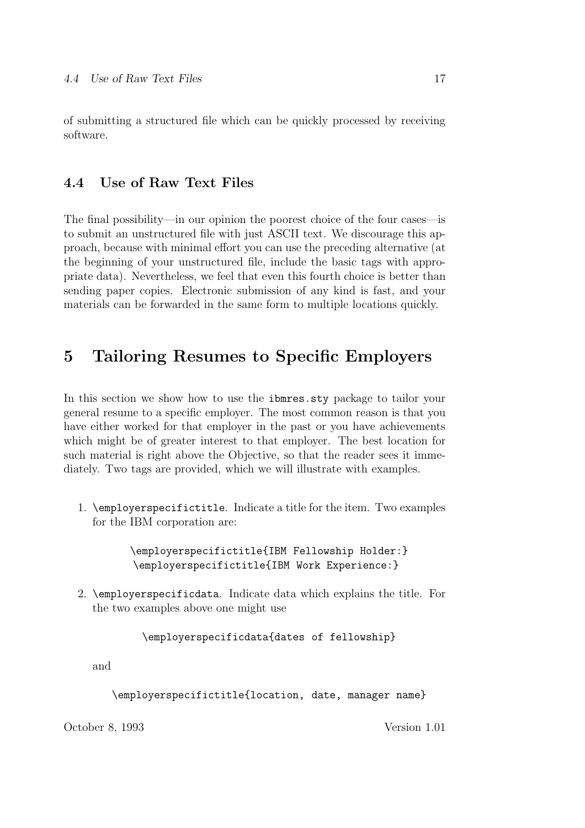of submitting a structured file which can be quickly processed by receiving software.

### **4.4 Use of Raw Text Files**

The final possibility—in our opinion the poorest choice of the four cases—is to submit an unstructured file with just ASCII text. We discourage this approach, because with minimal effort you can use the preceding alternative (at the beginning of your unstructured file, include the basic tags with appropriate data). Nevertheless, we feel that even this fourth choice is better than sending paper copies. Electronic submission of any kind is fast, and your materials can be forwarded in the same form to multiple locations quickly.

### **5 Tailoring Resumes to Specific Employers**

In this section we show how to use the ibmres.sty package to tailor your general resume to a specific employer. The most common reason is that you have either worked for that employer in the past or you have achievements which might be of greater interest to that employer. The best location for such material is right above the Objective, so that the reader sees it immediately. Two tags are provided, which we will illustrate with examples.

1. \employerspecifictitle. Indicate a title for the item. Two examples for the IBM corporation are:

> \employerspecifictitle{IBM Fellowship Holder:} \employerspecifictitle{IBM Work Experience:}

2. \employerspecificdata. Indicate data which explains the title. For the two examples above one might use

\employerspecificdata{dates of fellowship}

and

\employerspecifictitle{location, date, manager name}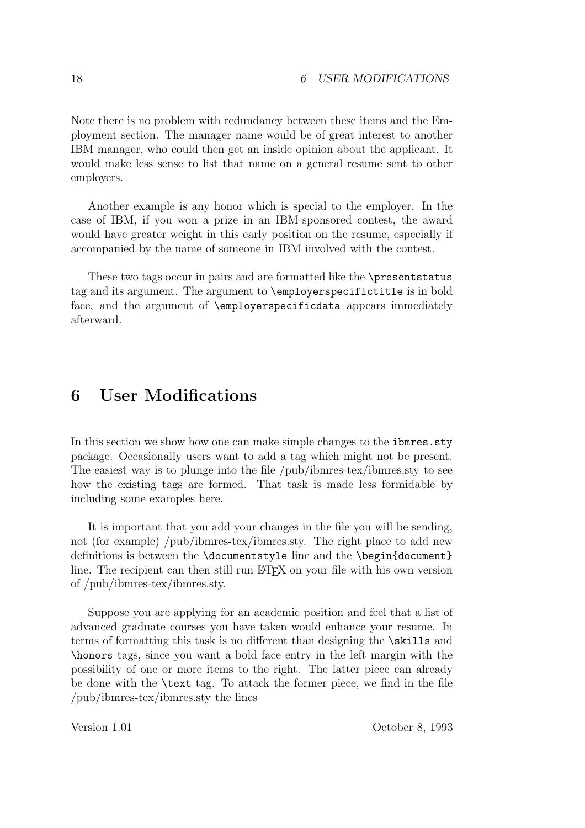Note there is no problem with redundancy between these items and the Employment section. The manager name would be of great interest to another IBM manager, who could then get an inside opinion about the applicant. It would make less sense to list that name on a general resume sent to other employers.

Another example is any honor which is special to the employer. In the case of IBM, if you won a prize in an IBM-sponsored contest, the award would have greater weight in this early position on the resume, especially if accompanied by the name of someone in IBM involved with the contest.

These two tags occur in pairs and are formatted like the \presentstatus tag and its argument. The argument to \employerspecifictitle is in bold face, and the argument of \employerspecificdata appears immediately afterward.

### **6 User Modifications**

In this section we show how one can make simple changes to the **ibmres**.sty package. Occasionally users want to add a tag which might not be present. The easiest way is to plunge into the file /pub/ibmres-tex/ibmres.sty to see how the existing tags are formed. That task is made less formidable by including some examples here.

It is important that you add your changes in the file you will be sending, not (for example) /pub/ibmres-tex/ibmres.sty. The right place to add new definitions is between the \documentstyle line and the \begin{document} line. The recipient can then still run LAT<sub>EX</sub> on your file with his own version of /pub/ibmres-tex/ibmres.sty.

Suppose you are applying for an academic position and feel that a list of advanced graduate courses you have taken would enhance your resume. In terms of formatting this task is no different than designing the \skills and \honors tags, since you want a bold face entry in the left margin with the possibility of one or more items to the right. The latter piece can already be done with the \text tag. To attack the former piece, we find in the file /pub/ibmres-tex/ibmres.sty the lines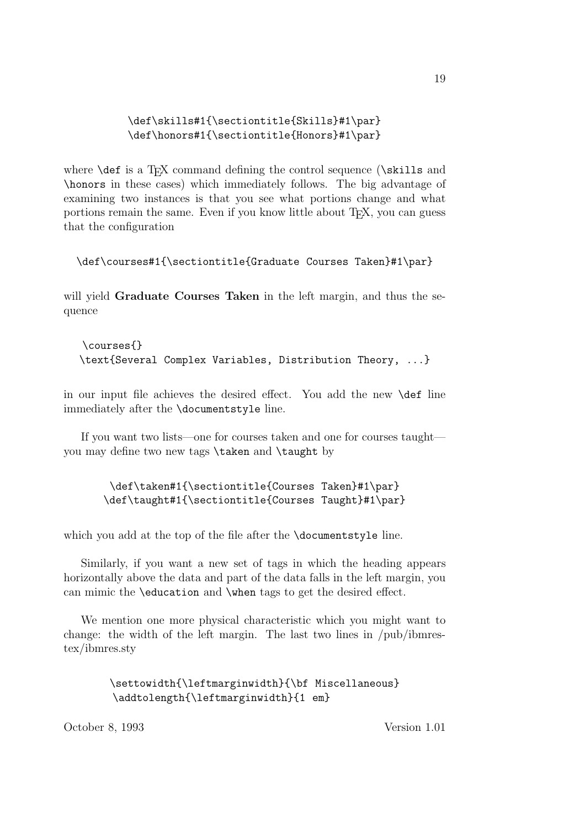#### \def\skills#1{\sectiontitle{Skills}#1\par} \def\honors#1{\sectiontitle{Honors}#1\par}

where  $\det$  is a T<sub>EX</sub> command defining the control sequence  $(\ast$ ills and \honors in these cases) which immediately follows. The big advantage of examining two instances is that you see what portions change and what portions remain the same. Even if you know little about TEX, you can guess that the configuration

#### \def\courses#1{\sectiontitle{Graduate Courses Taken}#1\par}

will yield **Graduate Courses Taken** in the left margin, and thus the sequence

\courses{} \text{Several Complex Variables, Distribution Theory, ...}

in our input file achieves the desired effect. You add the new \def line immediately after the \documentstyle line.

If you want two lists—one for courses taken and one for courses taught you may define two new tags \taken and \taught by

> \def\taken#1{\sectiontitle{Courses Taken}#1\par} \def\taught#1{\sectiontitle{Courses Taught}#1\par}

which you add at the top of the file after the **\documentstyle** line.

Similarly, if you want a new set of tags in which the heading appears horizontally above the data and part of the data falls in the left margin, you can mimic the \education and \when tags to get the desired effect.

We mention one more physical characteristic which you might want to change: the width of the left margin. The last two lines in /pub/ibmrestex/ibmres.sty

> \settowidth{\leftmarginwidth}{\bf Miscellaneous} \addtolength{\leftmarginwidth}{1 em}

October 8, 1993 Version 1.01

19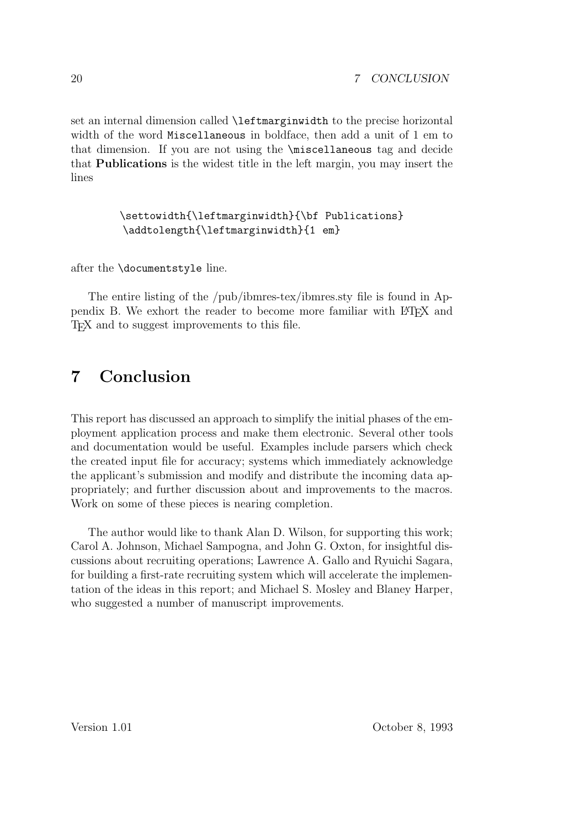set an internal dimension called \leftmarginwidth to the precise horizontal width of the word Miscellaneous in boldface, then add a unit of 1 em to that dimension. If you are not using the \miscellaneous tag and decide that **Publications** is the widest title in the left margin, you may insert the lines

#### \settowidth{\leftmarginwidth}{\bf Publications} \addtolength{\leftmarginwidth}{1 em}

after the \documentstyle line.

The entire listing of the /pub/ibmres-tex/ibmres.sty file is found in Appendix B. We exhort the reader to become more familiar with LATEX and TEX and to suggest improvements to this file.

### **7 Conclusion**

This report has discussed an approach to simplify the initial phases of the employment application process and make them electronic. Several other tools and documentation would be useful. Examples include parsers which check the created input file for accuracy; systems which immediately acknowledge the applicant's submission and modify and distribute the incoming data appropriately; and further discussion about and improvements to the macros. Work on some of these pieces is nearing completion.

The author would like to thank Alan D. Wilson, for supporting this work; Carol A. Johnson, Michael Sampogna, and John G. Oxton, for insightful discussions about recruiting operations; Lawrence A. Gallo and Ryuichi Sagara, for building a first-rate recruiting system which will accelerate the implementation of the ideas in this report; and Michael S. Mosley and Blaney Harper, who suggested a number of manuscript improvements.